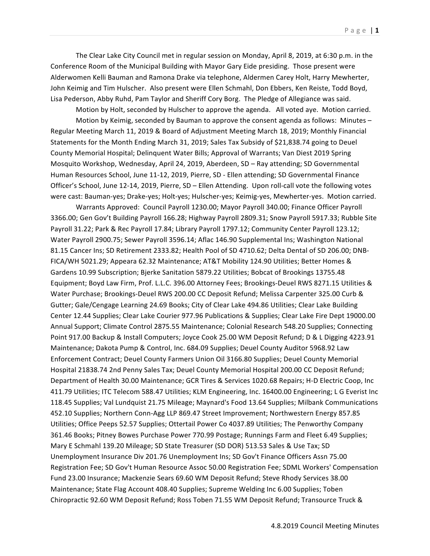The Clear Lake City Council met in regular session on Monday, April 8, 2019, at 6:30 p.m. in the Conference Room of the Municipal Building with Mayor Gary Eide presiding. Those present were Alderwomen Kelli Bauman and Ramona Drake via telephone, Aldermen Carey Holt, Harry Mewherter, John Keimig and Tim Hulscher. Also present were Ellen Schmahl, Don Ebbers, Ken Reiste, Todd Boyd, Lisa Pederson, Abby Ruhd, Pam Taylor and Sheriff Cory Borg. The Pledge of Allegiance was said.

Motion by Holt, seconded by Hulscher to approve the agenda. All voted aye. Motion carried. Motion by Keimig, seconded by Bauman to approve the consent agenda as follows: Minutes  $-$ Regular Meeting March 11, 2019 & Board of Adjustment Meeting March 18, 2019; Monthly Financial Statements for the Month Ending March 31, 2019; Sales Tax Subsidy of \$21,838.74 going to Deuel County Memorial Hospital; Delinquent Water Bills; Approval of Warrants; Van Diest 2019 Spring Mosquito Workshop, Wednesday, April 24, 2019, Aberdeen, SD – Ray attending; SD Governmental Human Resources School, June 11-12, 2019, Pierre, SD - Ellen attending; SD Governmental Finance Officer's School, June 12-14, 2019, Pierre, SD - Ellen Attending. Upon roll-call vote the following votes were cast: Bauman-yes; Drake-yes; Holt-yes; Hulscher-yes; Keimig-yes, Mewherter-yes. Motion carried.

Warrants Approved: Council Payroll 1230.00; Mayor Payroll 340.00; Finance Officer Payroll 3366.00; Gen Gov't Building Payroll 166.28; Highway Payroll 2809.31; Snow Payroll 5917.33; Rubble Site Payroll 31.22; Park & Rec Payroll 17.84; Library Payroll 1797.12; Community Center Payroll 123.12; Water Payroll 2900.75; Sewer Payroll 3596.14; Aflac 146.90 Supplemental Ins; Washington National 81.15 Cancer Ins; SD Retirement 2333.82; Health Pool of SD 4710.62; Delta Dental of SD 206.00; DNB-FICA/WH 5021.29; Appeara 62.32 Maintenance; AT&T Mobility 124.90 Utilities; Better Homes & Gardens 10.99 Subscription; Bjerke Sanitation 5879.22 Utilities; Bobcat of Brookings 13755.48 Equipment; Boyd Law Firm, Prof. L.L.C. 396.00 Attorney Fees; Brookings-Deuel RWS 8271.15 Utilities & Water Purchase; Brookings-Deuel RWS 200.00 CC Deposit Refund; Melissa Carpenter 325.00 Curb & Gutter; Gale/Cengage Learning 24.69 Books; City of Clear Lake 494.86 Utilities; Clear Lake Building Center 12.44 Supplies; Clear Lake Courier 977.96 Publications & Supplies; Clear Lake Fire Dept 19000.00 Annual Support; Climate Control 2875.55 Maintenance; Colonial Research 548.20 Supplies; Connecting Point 917.00 Backup & Install Computers; Joyce Cook 25.00 WM Deposit Refund; D & L Digging 4223.91 Maintenance; Dakota Pump & Control, Inc. 684.09 Supplies; Deuel County Auditor 5968.92 Law Enforcement Contract; Deuel County Farmers Union Oil 3166.80 Supplies; Deuel County Memorial Hospital 21838.74 2nd Penny Sales Tax; Deuel County Memorial Hospital 200.00 CC Deposit Refund; Department of Health 30.00 Maintenance; GCR Tires & Services 1020.68 Repairs; H-D Electric Coop, Inc 411.79 Utilities; ITC Telecom 588.47 Utilities; KLM Engineering, Inc. 16400.00 Engineering; L G Everist Inc 118.45 Supplies; Val Lundquist 21.75 Mileage; Maynard's Food 13.64 Supplies; Milbank Communications 452.10 Supplies; Northern Conn-Agg LLP 869.47 Street Improvement; Northwestern Energy 857.85 Utilities; Office Peeps 52.57 Supplies; Ottertail Power Co 4037.89 Utilities; The Penworthy Company 361.46 Books; Pitney Bowes Purchase Power 770.99 Postage; Runnings Farm and Fleet 6.49 Supplies; Mary E Schmahl 139.20 Mileage; SD State Treasurer (SD DOR) 513.53 Sales & Use Tax; SD Unemployment Insurance Div 201.76 Unemployment Ins; SD Gov't Finance Officers Assn 75.00 Registration Fee; SD Gov't Human Resource Assoc 50.00 Registration Fee; SDML Workers' Compensation Fund 23.00 Insurance; Mackenzie Sears 69.60 WM Deposit Refund; Steve Rhody Services 38.00 Maintenance; State Flag Account 408.40 Supplies; Supreme Welding Inc 6.00 Supplies; Toben Chiropractic 92.60 WM Deposit Refund; Ross Toben 71.55 WM Deposit Refund; Transource Truck &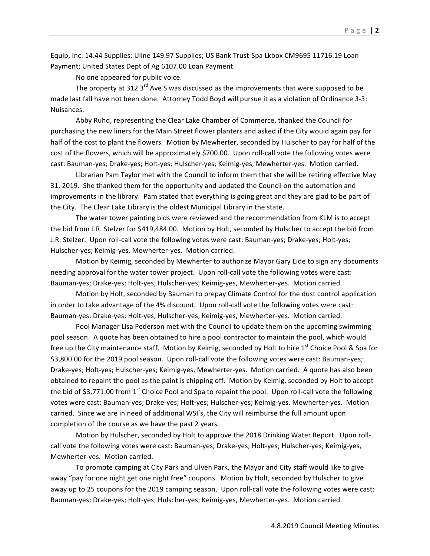Equip, Inc. 14.44 Supplies; Uline 149.97 Supplies; US Bank Trust-Spa Lkbox CM9695 11716.19 Loan Payment; United States Dept of Ag 6107.00 Loan Payment.

No one appeared for public voice.

The property at 312  $3^{\text{rd}}$  Ave S was discussed as the improvements that were supposed to be made last fall have not been done. Attorney Todd Boyd will pursue it as a violation of Ordinance 3-3: Nuisances. 

Abby Ruhd, representing the Clear Lake Chamber of Commerce, thanked the Council for purchasing the new liners for the Main Street flower planters and asked if the City would again pay for half of the cost to plant the flowers. Motion by Mewherter, seconded by Hulscher to pay for half of the cost of the flowers, which will be approximately \$700.00. Upon roll-call vote the following votes were cast: Bauman-yes; Drake-yes; Holt-yes; Hulscher-yes; Keimig-yes, Mewherter-yes. Motion carried.

Librarian Pam Taylor met with the Council to inform them that she will be retiring effective May 31, 2019. She thanked them for the opportunity and updated the Council on the automation and improvements in the library. Pam stated that everything is going great and they are glad to be part of the City. The Clear Lake Library is the oldest Municipal Library in the state.

The water tower painting bids were reviewed and the recommendation from KLM is to accept the bid from J.R. Stelzer for \$419,484.00. Motion by Holt, seconded by Hulscher to accept the bid from J.R. Stelzer. Upon roll-call vote the following votes were cast: Bauman-yes; Drake-yes; Holt-yes; Hulscher-yes; Keimig-yes, Mewherter-yes. Motion carried.

Motion by Keimig, seconded by Mewherter to authorize Mayor Gary Eide to sign any documents needing approval for the water tower project. Upon roll-call vote the following votes were cast: Bauman-yes; Drake-yes; Holt-yes; Hulscher-yes; Keimig-yes, Mewherter-yes. Motion carried.

Motion by Holt, seconded by Bauman to prepay Climate Control for the dust control application in order to take advantage of the 4% discount. Upon roll-call vote the following votes were cast: Bauman-yes; Drake-yes; Holt-yes; Hulscher-yes; Keimig-yes, Mewherter-yes. Motion carried.

Pool Manager Lisa Pederson met with the Council to update them on the upcoming swimming pool season. A quote has been obtained to hire a pool contractor to maintain the pool, which would free up the City maintenance staff. Motion by Keimig, seconded by Holt to hire  $1<sup>st</sup>$  Choice Pool & Spa for \$3,800.00 for the 2019 pool season. Upon roll-call vote the following votes were cast: Bauman-yes; Drake-yes; Holt-yes; Hulscher-yes; Keimig-yes, Mewherter-yes. Motion carried. A quote has also been obtained to repaint the pool as the paint is chipping off. Motion by Keimig, seconded by Holt to accept the bid of \$3,771.00 from 1<sup>st</sup> Choice Pool and Spa to repaint the pool. Upon roll-call vote the following votes were cast: Bauman-yes; Drake-yes; Holt-yes; Hulscher-yes; Keimig-yes, Mewherter-yes. Motion carried. Since we are in need of additional WSI's, the City will reimburse the full amount upon completion of the course as we have the past 2 years.

Motion by Hulscher, seconded by Holt to approve the 2018 Drinking Water Report. Upon rollcall vote the following votes were cast: Bauman-yes; Drake-yes; Holt-yes; Hulscher-yes; Keimig-yes, Mewherter-yes. Motion carried.

To promote camping at City Park and Ulven Park, the Mayor and City staff would like to give away "pay for one night get one night free" coupons. Motion by Holt, seconded by Hulscher to give away up to 25 coupons for the 2019 camping season. Upon roll-call vote the following votes were cast: Bauman-yes; Drake-yes; Holt-yes; Hulscher-yes; Keimig-yes, Mewherter-yes. Motion carried.